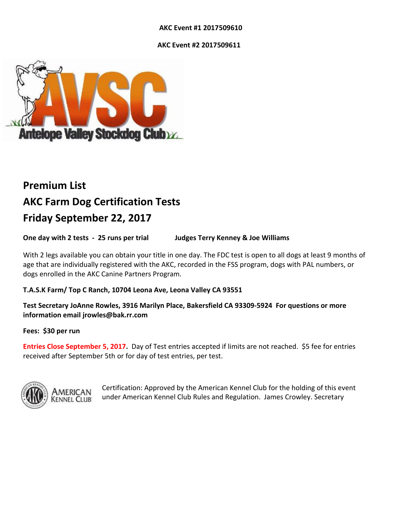# **AKC Event #1 2017509610**

 **AKC Event #2 2017509611**



# **Premium List AKC Farm Dog Certification Tests Friday September 22, 2017**

**One day with 2 tests - 25 runs per trial Judges Terry Kenney & Joe Williams**

With 2 legs available you can obtain your title in one day. The FDC test is open to all dogs at least 9 months of age that are individually registered with the AKC, recorded in the FSS program, dogs with PAL numbers, or dogs enrolled in the AKC Canine Partners Program.

# **T.A.S.K Farm/ Top C Ranch, 10704 Leona Ave, Leona Valley CA 93551**

**Test Secretary JoAnne Rowles, 3916 Marilyn Place, Bakersfield CA 93309-5924 For questions or more information email jrowles@bak.rr.com**

# **Fees: \$30 per run**

**Entries Close September 5, 2017.** Day of Test entries accepted if limits are not reached. \$5 fee for entries received after September 5th or for day of test entries, per test.



Certification: Approved by the American Kennel Club for the holding of this event under American Kennel Club Rules and Regulation. James Crowley. Secretary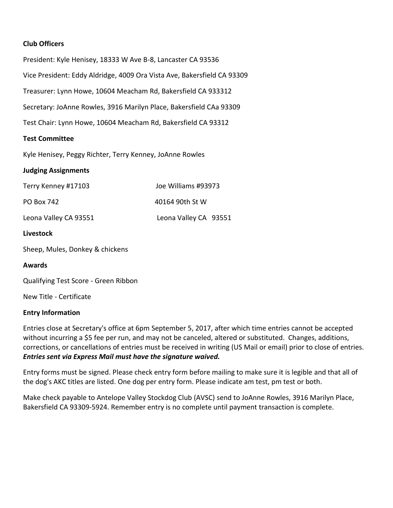# **Club Officers**

President: Kyle Henisey, 18333 W Ave B-8, Lancaster CA 93536 Vice President: Eddy Aldridge, 4009 Ora Vista Ave, Bakersfield CA 93309 Treasurer: Lynn Howe, 10604 Meacham Rd, Bakersfield CA 933312 Secretary: JoAnne Rowles, 3916 Marilyn Place, Bakersfield CAa 93309 Test Chair: Lynn Howe, 10604 Meacham Rd, Bakersfield CA 93312

### **Test Committee**

Kyle Henisey, Peggy Richter, Terry Kenney, JoAnne Rowles

#### **Judging Assignments**

| Terry Kenney #17103   | Joe Williams #93973   |
|-----------------------|-----------------------|
| PO Box 742            | 40164 90th St W       |
| Leona Valley CA 93551 | Leona Valley CA 93551 |

#### **Livestock**

Sheep, Mules, Donkey & chickens

**Awards**

Qualifying Test Score - Green Ribbon

New Title - Certificate

# **Entry Information**

Entries close at Secretary's office at 6pm September 5, 2017, after which time entries cannot be accepted without incurring a \$5 fee per run, and may not be canceled, altered or substituted. Changes, additions, corrections, or cancellations of entries must be received in writing (US Mail or email) prior to close of entries. *Entries sent via Express Mail must have the signature waived.*

Entry forms must be signed. Please check entry form before mailing to make sure it is legible and that all of the dog's AKC titles are listed. One dog per entry form. Please indicate am test, pm test or both.

Make check payable to Antelope Valley Stockdog Club (AVSC) send to JoAnne Rowles, 3916 Marilyn Place, Bakersfield CA 93309-5924. Remember entry is no complete until payment transaction is complete.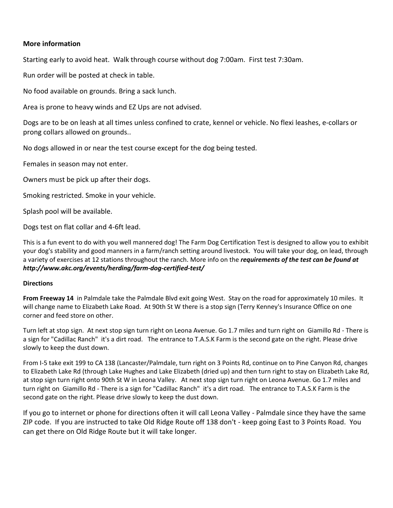# **More information**

Starting early to avoid heat. Walk through course without dog 7:00am. First test 7:30am.

Run order will be posted at check in table.

No food available on grounds. Bring a sack lunch.

Area is prone to heavy winds and EZ Ups are not advised.

Dogs are to be on leash at all times unless confined to crate, kennel or vehicle. No flexi leashes, e-collars or prong collars allowed on grounds..

No dogs allowed in or near the test course except for the dog being tested.

Females in season may not enter.

Owners must be pick up after their dogs.

Smoking restricted. Smoke in your vehicle.

Splash pool will be available.

Dogs test on flat collar and 4-6ft lead.

This is a fun event to do with you well mannered dog! The Farm Dog Certification Test is designed to allow you to exhibit your dog's stability and good manners in a farm/ranch setting around livestock. You will take your dog, on lead, through a variety of exercises at 12 stations throughout the ranch. More info on the *requirements of the test can be found at http://www.akc.org/events/herding/farm-dog-certified-test/*

#### **Directions**

**From Freeway 14** in Palmdale take the Palmdale Blvd exit going West. Stay on the road for approximately 10 miles. It will change name to Elizabeth Lake Road. At 90th St W there is a stop sign (Terry Kenney's Insurance Office on one corner and feed store on other.

Turn left at stop sign. At next stop sign turn right on Leona Avenue. Go 1.7 miles and turn right on Giamillo Rd - There is a sign for "Cadillac Ranch" it's a dirt road. The entrance to T.A.S.K Farm is the second gate on the right. Please drive slowly to keep the dust down.

From I-5 take exit 199 to CA 138 (Lancaster/Palmdale, turn right on 3 Points Rd, continue on to Pine Canyon Rd, changes to Elizabeth Lake Rd (through Lake Hughes and Lake Elizabeth (dried up) and then turn right to stay on Elizabeth Lake Rd, at stop sign turn right onto 90th St W in Leona Valley. At next stop sign turn right on Leona Avenue. Go 1.7 miles and turn right on Giamillo Rd - There is a sign for "Cadillac Ranch" it's a dirt road. The entrance to T.A.S.K Farm is the second gate on the right. Please drive slowly to keep the dust down.

If you go to internet or phone for directions often it will call Leona Valley - Palmdale since they have the same ZIP code. If you are instructed to take Old Ridge Route off 138 don't - keep going East to 3 Points Road. You can get there on Old Ridge Route but it will take longer.